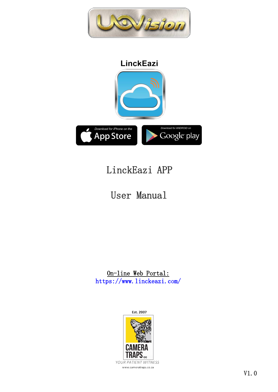

# LinckEazi APP

# User Manual

On-line Web Portal: https://www.linckeazi.com/



www.cameratraps.co.za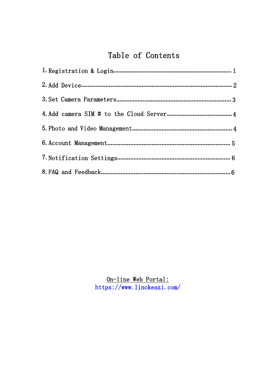### Table of Contents

 $\underbrace{\text{On} \text{-} \text{line Web Portal:}} \\ \text{https://www. linckeazi.com/}$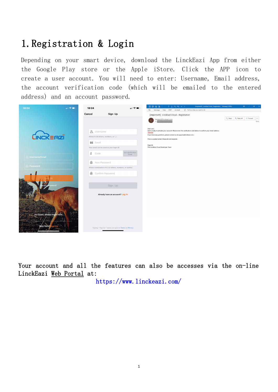# <span id="page-2-0"></span>1.Registration & Login

Depending on your smart device, download the LinckEazi App from either the Google Play store or the Apple iStore. Click the APP icon to create a user account. You will need to enter: Username, Email address, the account verification code (which will be emailed to the entered address) and an account password.



Your account and all the features can also be accesses via the on-line LinckEazi Web Portal at:

https://www.linckeazi.com/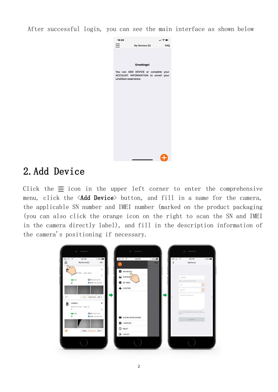After successful login, you can see the main interface as shown below



## 2.Add Device

Click the  $\equiv$  icon in the upper left corner to enter the comprehensive menu, click the <Add Device> button, and fill in a name for the camera, the applicable SN number and IMEI number (marked on the product packaging (you can also click the orange icon on the right to scan the SN and IMEI in the camera directly label), and fill in the description information of the camera's positioning if necessary.

<span id="page-3-0"></span>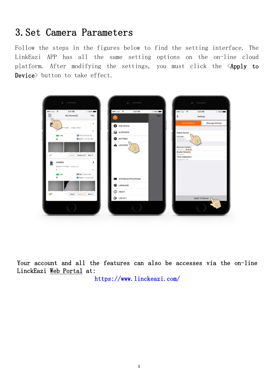## 3.Set Camera Parameters

Follow the steps in the figures below to find the setting interface. The LinkEazi APP has all the same setting options on the on-line cloud platform. After modifying the settings, you must click the <Apply to Device> button to take effect.

<span id="page-4-0"></span>

Your account and all the features can also be accesses via the on-line LinckEazi Web Portal at:

https://www.linckeazi.com/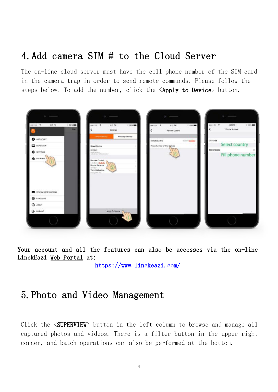# <span id="page-5-0"></span>4.Add camera SIM # to the Cloud Server

The on-line cloud server must have the cell phone number of the SIM card in the camera trap in order to send remote commands. Please follow the steps below. To add the number, click the  $\langle Apply\ to\ Device\rangle$  button.



<span id="page-5-1"></span>Your account and all the features can also be accesses via the on-line LinckEazi Web Portal at:

https://www.linckeazi.com/

### 5.Photo and Video Management

Click the  $\langle$ SUPERVIEW> button in the left column to browse and manage all captured photos and videos. There is a filter button in the upper right corner, and batch operations can also be performed at the bottom.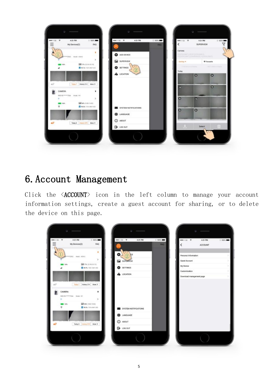

## <span id="page-6-0"></span>6.Account Management

Click the <ACCOUNT> icon in the left column to manage your account information settings, create a guest account for sharing, or to delete the device on this page.

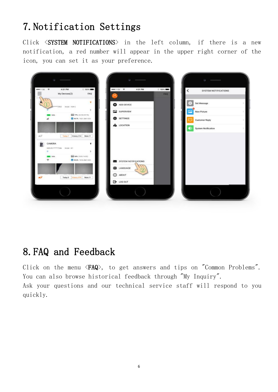# 7.Notification Settings

<span id="page-7-0"></span>Click <SYSTEM NOTIFICATIONS> in the left column, if there is a new notification, a red number will appear in the upper right corner of the icon, you can set it as your preference.



# <span id="page-7-1"></span>8.FAQ and Feedback

Click on the menu <FAQ>, to get answers and tips on "Common Problems". You can also browse historical feedback through "My Inquiry". Ask your questions and our technical service staff will respond to you quickly.